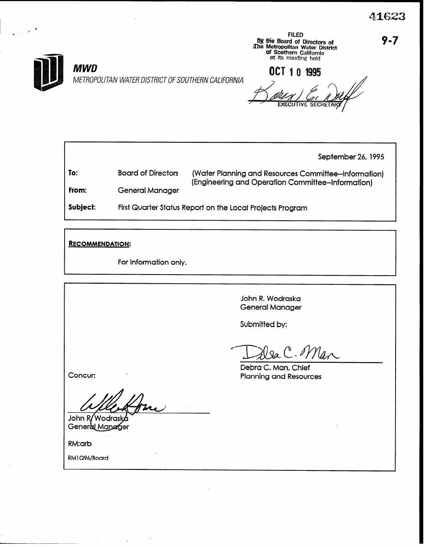

III waa ku mid kale ku mare ku mare ku mare ku mare ku mare ku mare ku mare ku mare ku mare ku mare ku mare ku

## MWD METROPOLITAN WATER DISTRICT OF SOUTHERN CALIFORNIA

FILED<br>
By the Board of Directors of<br>
IDEN Metropolitan Water District<br>
Of Southern California at its meeting held

OCT 10 1995

**EXECU** 

September 26, 1995

To: From: Board of Directors (Water Planning and Resources Committee-Information) (Engineering and Operation Committee-Information) General Manager

Subject: First Quarter Status Report on the Local Projects Program

RECOMMENDATION:

For Information only.

John R. Wodraska General Manager

Submitted by:

Man

Concur:

John R/Wodraska General Manager

RM:arb

RMl Q96/Board

Debra C. Man, Chief Planning and Resources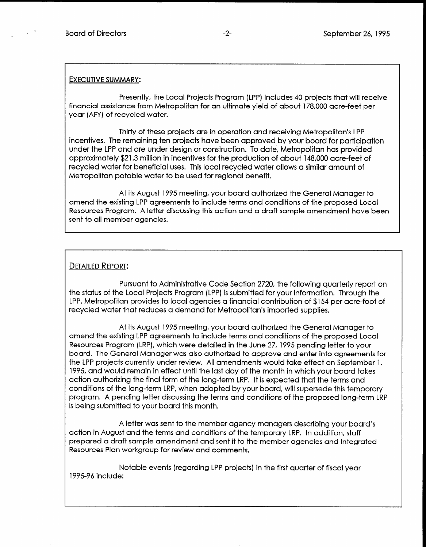## EXECUTIVE SUMMARY:

Presently, the Local Projects Program (LPP) includes 40 projects that will receive financial assistance from Metropolitan for an ultimate yield of about 178,000 acre-feet per year (AFY) of recycled water.

Thirty of these projects are in operation and receiving Metropolitan's LPP incentives. The remaining ten projects have been approved by your board for participation under the LPP and are under design or construction. To date, Metropolitan has provided approximately \$21.3 million in incentives for the production of about 148,000 acre-feet of recycled water for beneficial uses. This local recycled water allows a similar amount of Metropolitan potable water to be used for regional benefit.

At its August 1995 meeting, your board authorized the General Manager to amend the existing LPP agreements to include terms and conditions of the proposed Local Resources Program. A letter discussing this action and a draft sample amendment have been sent to all member agencies.

## **DETAILED REPORT:**

Pursuant to Administrative Code Section 2720, the following quarterly report on the status of the Local Projects Program (LPP) is submitted for your information. Through the LPP, Metropolitan provides to local agencies a financial contribution of \$154 per acre-foot of LPP, Metropolitan provides to local agencies a financial contribution of \$154 per acre-foot of recycled water that reduces a demand for Metropolitan's imported supplies.

 $A$  is  $A$  its  $A$  is  $A$  its  $A$  is an obtained the General Manager to  $A$ amend the existing agreements to include the proposed terms and conditions of the proposed Local Andrew Local Conditions of the proposed Local Andrew Local Conditions of the proposed Local Conditions of the proposed Local amend the existing LPP agreements to include terms and conditions of the proposed Local Resources Program (LRP), which were detailed in the June 27, 1995 pending letter to your board. The General Manager was also authorized to approve and enter into agreements for the LPP projects currently under review. All amendments would take effect on September 1, 1995, and would remain in effect until the last day of the month in which your board takes action authorizing the final form of the long-term LRP. It is expected that the terms and conditions of the long-term LRP, when adopted by your board, will supersede this temporary program. A pending letter discussing the terms and conditions of the proposed long-term LRP is being submitted to your board this month.

A letter was sent to the member agency managers describing your board's action in August and the terms and conditions of the temporary LRP. In addition, staff prepared a draft sample amendment and sent it to the member agencies and Integrated<br>Resources Plan workgroup for review and comments.

Notable events (regarding LPP projects) in the first quarter of fiscal year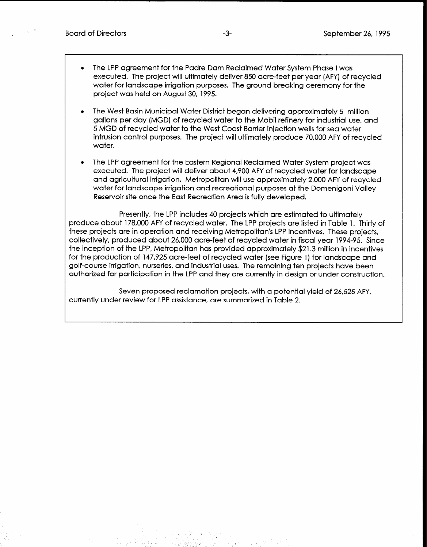- The LPP agreement for the Padre Dam Reclaimed Water System Phase I was executed. The project will ultimately deliver 850 acre-feet per year (AFY) of recycled water for landscape irrigation purposes. The ground breaking ceremony for the project was held on August 30, 1995.
- <sup>l</sup>The West Basin Municipal Water District began delivering approximately 5 million gallons per day (MGD) of recycled water to the Mobil refinery for industrial use, and 5 MGD of recycled water to the West Coast Barrier injection wells for sea water intrusion control purposes. The project will ultimately produce 70,000 AFY of recycled water.
- <sup>l</sup>The LPP agreement for the Eastern Regional Reclaimed Water System project was executed. The project will deliver about 4,900 AFY of recycled water for landscape and agricultural irrigation. Metropolitan will use approximately 2,000 AFY of recycled water for landscape irrigation and recreational purposes at the Domenigoni Valley Reservoir site once the East Recreation Area is fully developed.

Presently, the LPP includes 40 projects which are estimated to ultimately produce about 178,000 AFY of recycled water. The LPP projects are listed in Table 1. Thirty of these projects are in operation and receiving Metropolitan's LPP incentives. These projects, collectively, produced about 26,000 acre-feet of recycled water in fiscal year 1994-95. Since the inception of the LPP, Metropolitan has provided approximately \$21.3 million in incentives for the production of 147,925 acre-feet of recycled water (see Figure 1) for landscape and golf-course irrigation, nurseries, and industrial uses. The remaining ten projects have been authorized for participation in the LPP and they are currently in design or under construction.

Seven proposed reclamation projects, with a potential yield of 26,525 AFY, currently under review for LPP assistance, are summarized in Table 2.

e. Gibber 1951 (1